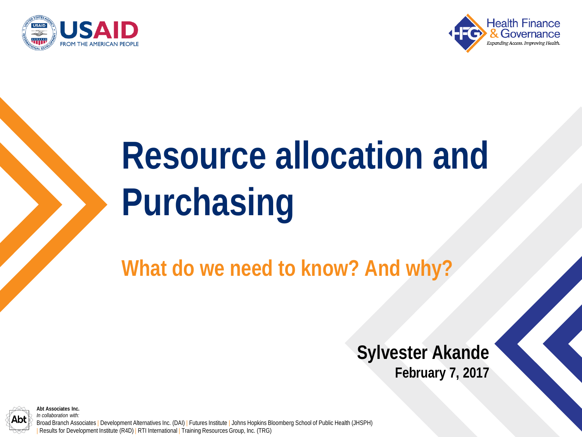



# **Resource allocation and Purchasing**

**What do we need to know? And why?**

#### **Sylvester Akande February 7, 2017**



**Abt Associates Inc.** *In collaboration with:*

Broad Branch Associates | Development Alternatives Inc. (DAI) | Futures Institute | Johns Hopkins Bloomberg School of Public Health (JHSPH) Results for Development Institute (R4D) | RTI International | Training Resources Group, Inc. (TRG)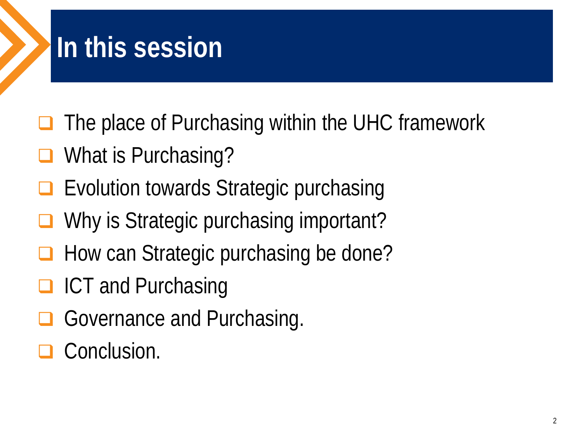### **In this session**

- $\Box$  The place of Purchasing within the UHC framework
- What is Purchasing?
- Evolution towards Strategic purchasing
- Why is Strategic purchasing important?
- $\Box$  How can Strategic purchasing be done?
- **□ ICT and Purchasing**
- Governance and Purchasing.
- Conclusion.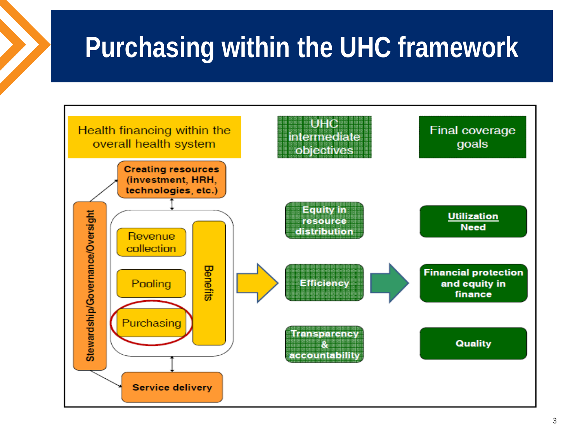### **Purchasing within the UHC framework**

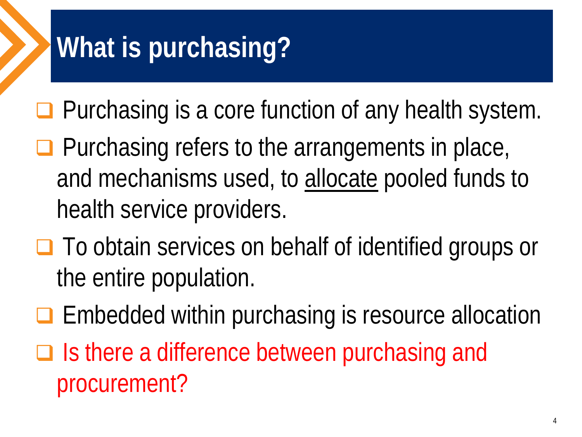# **What is purchasing?**

- $\Box$  Purchasing is a core function of any health system.
- $\Box$  Purchasing refers to the arrangements in place, and mechanisms used, to allocate pooled funds to health service providers.
- **□** To obtain services on behalf of identified groups or the entire population.
- $\Box$  Embedded within purchasing is resource allocation
- $\Box$  Is there a difference between purchasing and procurement?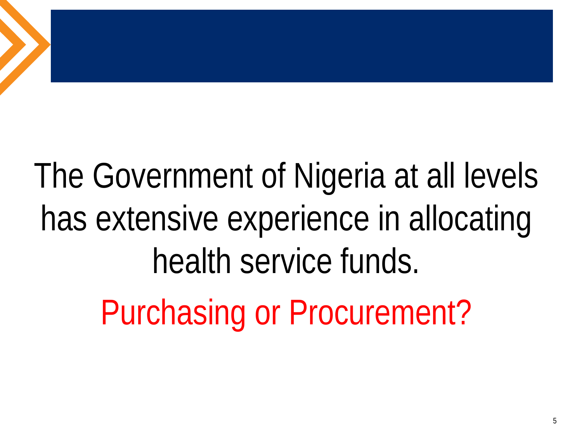# The Government of Nigeria at all levels has extensive experience in allocating health service funds. Purchasing or Procurement?

5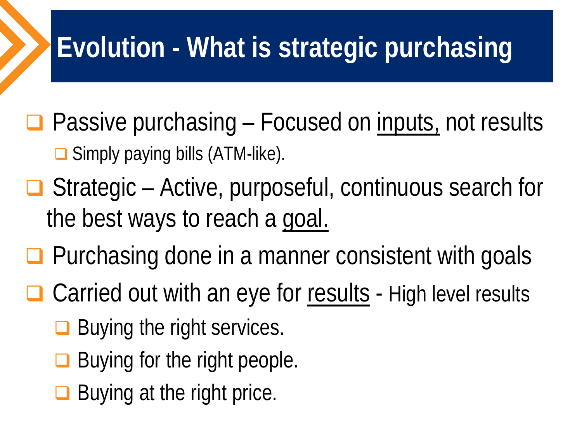## **Evolution - What is strategic purchasing**

- $\Box$  Passive purchasing Focused on <u>inputs</u>, not results **□** Simply paying bills (ATM-like).
- $\Box$  Strategic Active, purposeful, continuous search for the best ways to reach a goal.
- $\Box$  Purchasing done in a manner consistent with goals
- $\Box$  Carried out with an eye for results High level results
	- $\Box$  Buying the right services.
	- Buying for the right people.
	- $\Box$  Buying at the right price.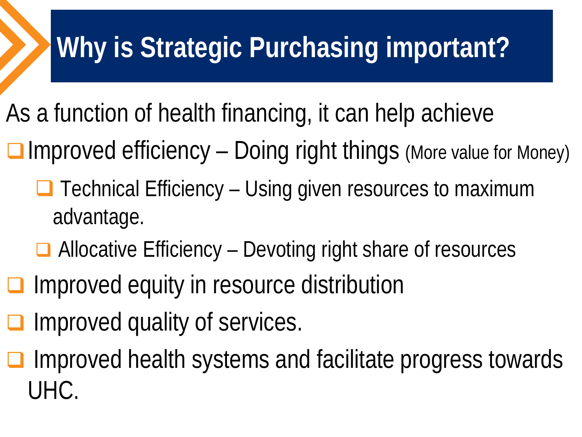# **Why is Strategic Purchasing important?**

- As a function of health financing, it can help achieve
- $\Box$  Improved efficiency Doing right things (More value for Money)
	- $\Box$  Technical Efficiency Using given resources to maximum advantage.
	- $\Box$  Allocative Efficiency Devoting right share of resources
- **□** Improved equity in resource distribution
- Improved quality of services.
- Improved health systems and facilitate progress towards UHC.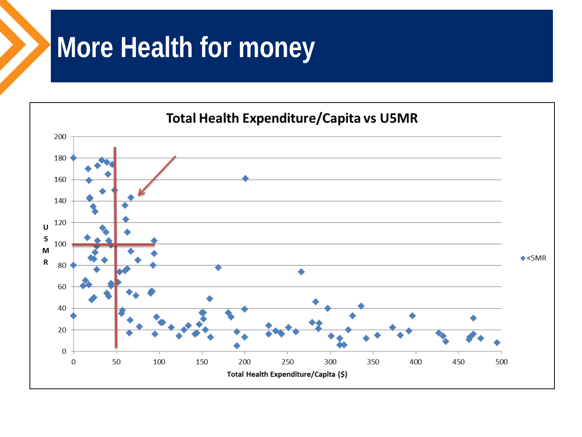#### **More Health for money**

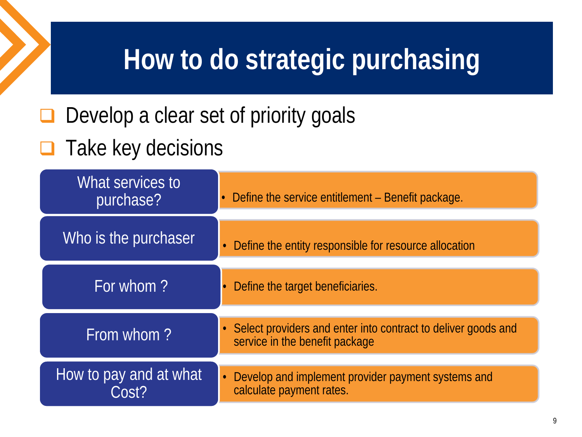### **How to do strategic purchasing**

 $\Box$  Develop a clear set of priority goals

#### $\Box$  Take key decisions

| What services to<br>purchase?   | • Define the service entitlement – Benefit package.                                               |  |
|---------------------------------|---------------------------------------------------------------------------------------------------|--|
| Who is the purchaser            | Define the entity responsible for resource allocation<br>$\bullet$                                |  |
| For whom?                       | Define the target beneficiaries.<br>$\bullet$                                                     |  |
| From whom?                      | • Select providers and enter into contract to deliver goods and<br>service in the benefit package |  |
| How to pay and at what<br>Cost? | • Develop and implement provider payment systems and<br>calculate payment rates.                  |  |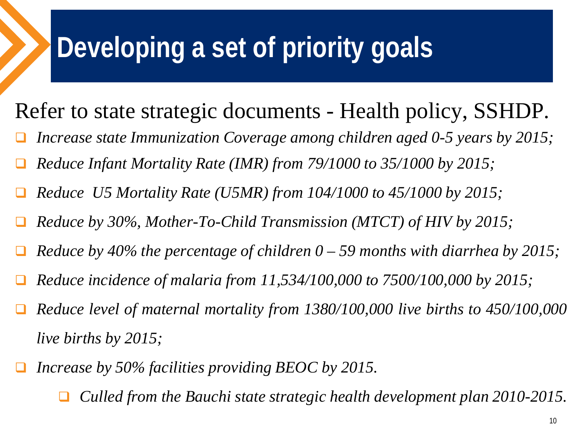## **Developing a set of priority goals**

#### Refer to state strategic documents - Health policy, SSHDP.

- *Increase state Immunization Coverage among children aged 0-5 years by 2015;*
- *Reduce Infant Mortality Rate (IMR) from 79/1000 to 35/1000 by 2015;*
- *Reduce U5 Mortality Rate (U5MR) from 104/1000 to 45/1000 by 2015;*
- *Reduce by 30%, Mother-To-Child Transmission (MTCT) of HIV by 2015;*
- *Reduce by 40% the percentage of children 0 – 59 months with diarrhea by 2015;*
- *Reduce incidence of malaria from 11,534/100,000 to 7500/100,000 by 2015;*
- *Reduce level of maternal mortality from 1380/100,000 live births to 450/100,000 live births by 2015;*
- *Increase by 50% facilities providing BEOC by 2015.*
	- *Culled from the Bauchi state strategic health development plan 2010-2015.*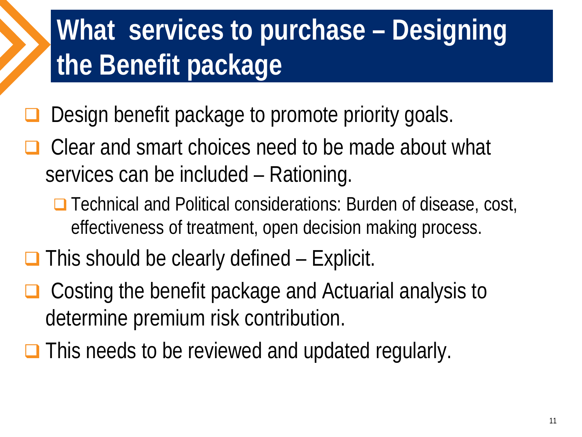# **What services to purchase – Designing the Benefit package**

- Design benefit package to promote priority goals.
- □ Clear and smart choices need to be made about what services can be included – Rationing.
	- **□** Technical and Political considerations: Burden of disease, cost, effectiveness of treatment, open decision making process.
- $\Box$  This should be clearly defined Explicit.
- □ Costing the benefit package and Actuarial analysis to determine premium risk contribution.
- $\Box$  This needs to be reviewed and updated regularly.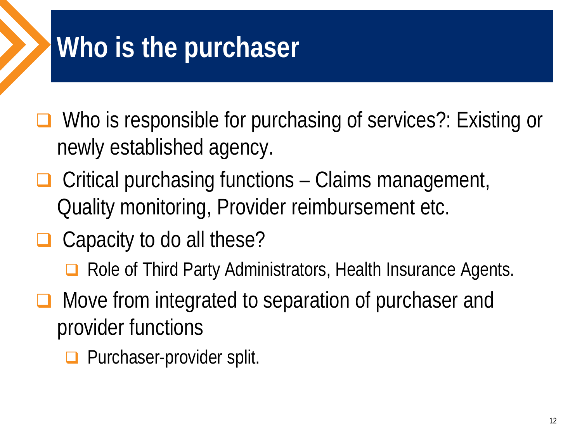# **Who is the purchaser**

 Who is responsible for purchasing of services?: Existing or newly established agency.

- $\Box$  Critical purchasing functions Claims management, Quality monitoring, Provider reimbursement etc.
- $\Box$  Capacity to do all these?
	- Role of Third Party Administrators, Health Insurance Agents.
- Move from integrated to separation of purchaser and provider functions
	- **Purchaser-provider split.**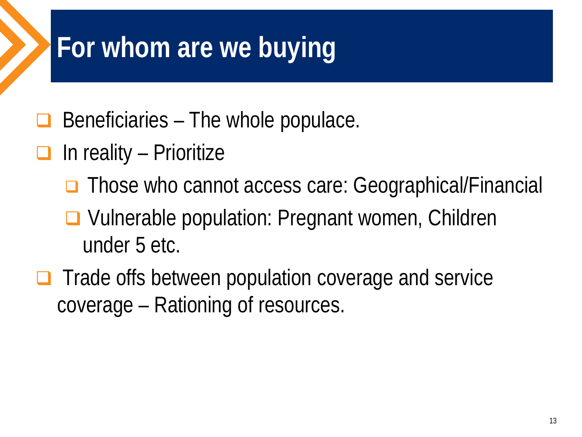### **For whom are we buying**

- Beneficiaries The whole populace.
- $\Box$  In reality Prioritize
	- **□** Those who cannot access care: Geographical/Financial
	- **□ Vulnerable population: Pregnant women, Children** under 5 etc.
- $\Box$  Trade offs between population coverage and service coverage – Rationing of resources.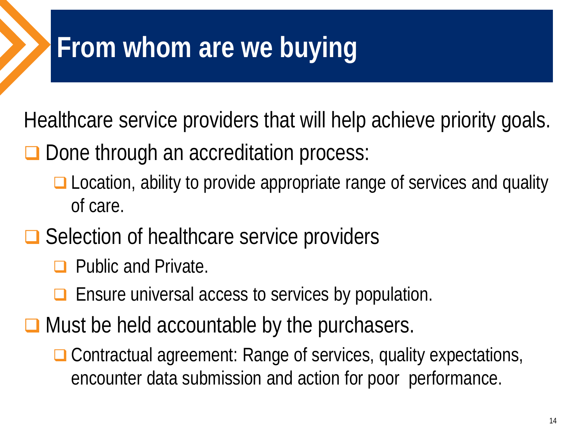#### **From whom are we buying**

Healthcare service providers that will help achieve priority goals.

- **□** Done through an accreditation process:
	- □ Location, ability to provide appropriate range of services and quality of care.
- **□** Selection of healthcare service providers
	- **D** Public and Private.
	- **□** Ensure universal access to services by population.
- $\Box$  Must be held accountable by the purchasers.
	- □ Contractual agreement: Range of services, quality expectations, encounter data submission and action for poor performance.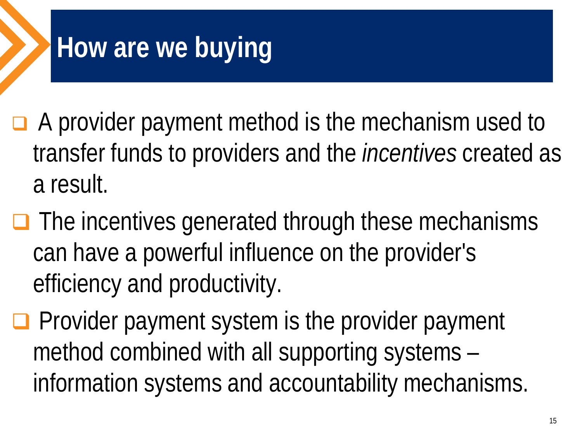## **How are we buying**

- $\Box$  A provider payment method is the mechanism used to transfer funds to providers and the *incentives* created as a result.
- $\Box$  The incentives generated through these mechanisms can have a powerful influence on the provider's efficiency and productivity.
- $\Box$  Provider payment system is the provider payment method combined with all supporting systems – information systems and accountability mechanisms.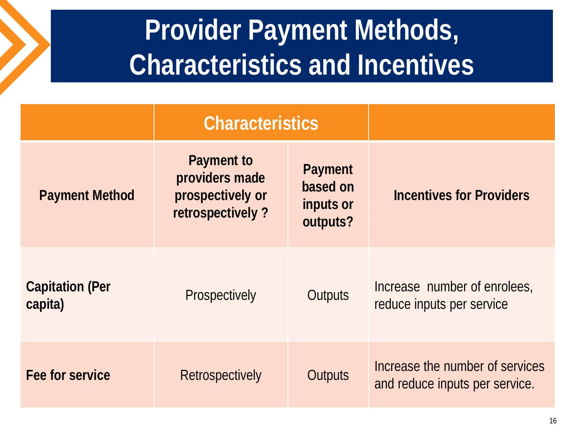### **Provider Payment Methods, Characteristics and Incentives**

|                                   | <b>Characteristics</b>                                                      |                                              |                                                                   |
|-----------------------------------|-----------------------------------------------------------------------------|----------------------------------------------|-------------------------------------------------------------------|
| <b>Payment Method</b>             | <b>Payment to</b><br>providers made<br>prospectively or<br>retrospectively? | Payment<br>based on<br>inputs or<br>outputs? | <b>Incentives for Providers</b>                                   |
| <b>Capitation (Per</b><br>capita) | Prospectively                                                               | Outputs                                      | Increase number of enrolees,<br>reduce inputs per service         |
| Fee for service                   | Retrospectively                                                             | Outputs                                      | Increase the number of services<br>and reduce inputs per service. |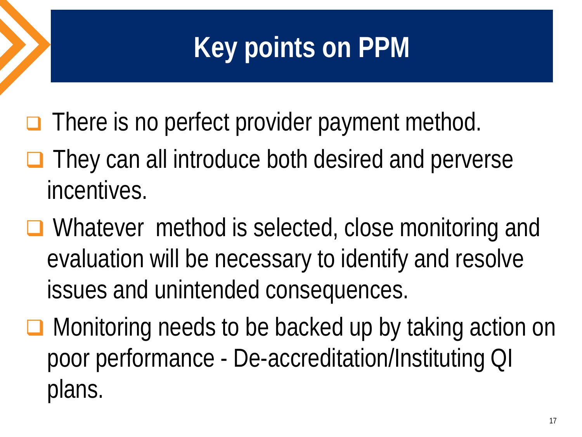# **Key points on PPM**

- $\Box$  There is no perfect provider payment method.
- $\Box$  They can all introduce both desired and perverse incentives.
- Whatever method is selected, close monitoring and evaluation will be necessary to identify and resolve issues and unintended consequences.
- Monitoring needs to be backed up by taking action on poor performance - De-accreditation/Instituting QI plans.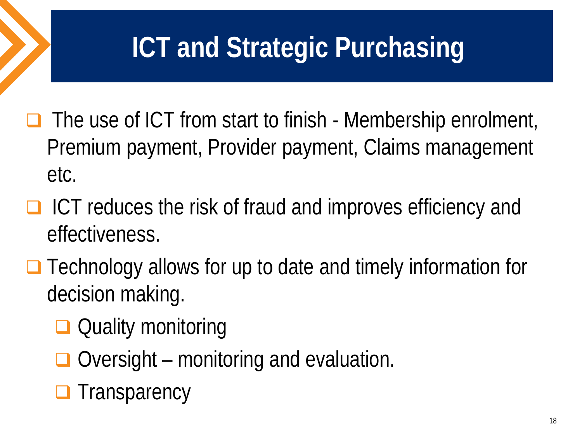## **ICT and Strategic Purchasing**

- $\Box$  The use of ICT from start to finish Membership enrolment, Premium payment, Provider payment, Claims management etc.
- $\Box$  ICT reduces the risk of fraud and improves efficiency and effectiveness.
- **□** Technology allows for up to date and timely information for decision making.
	- **□** Quality monitoring
	- $\Box$  Oversight monitoring and evaluation.
	- $\Box$  Transparency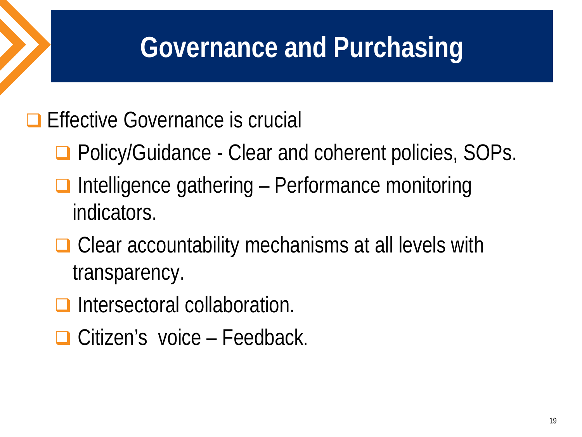#### **Governance and Purchasing**

#### **Effective Governance is crucial**

- **□ Policy/Guidance Clear and coherent policies, SOPs.**
- $\Box$  Intelligence gathering Performance monitoring indicators.
- **□** Clear accountability mechanisms at all levels with transparency.
- Intersectoral collaboration.
- **□ Citizen's voice Feedback.**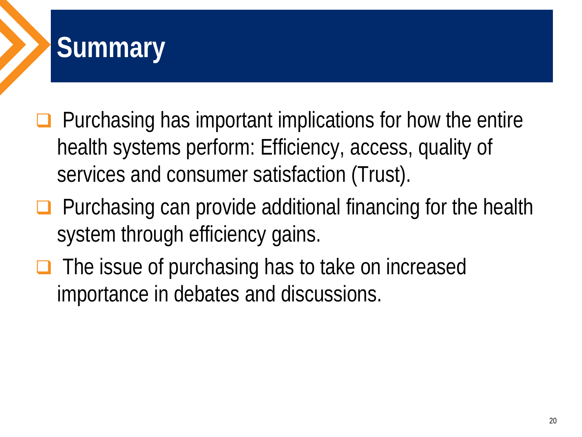

- $\Box$  Purchasing has important implications for how the entire health systems perform: Efficiency, access, quality of services and consumer satisfaction (Trust).
- $\Box$  Purchasing can provide additional financing for the health system through efficiency gains.
- $\Box$  The issue of purchasing has to take on increased importance in debates and discussions.